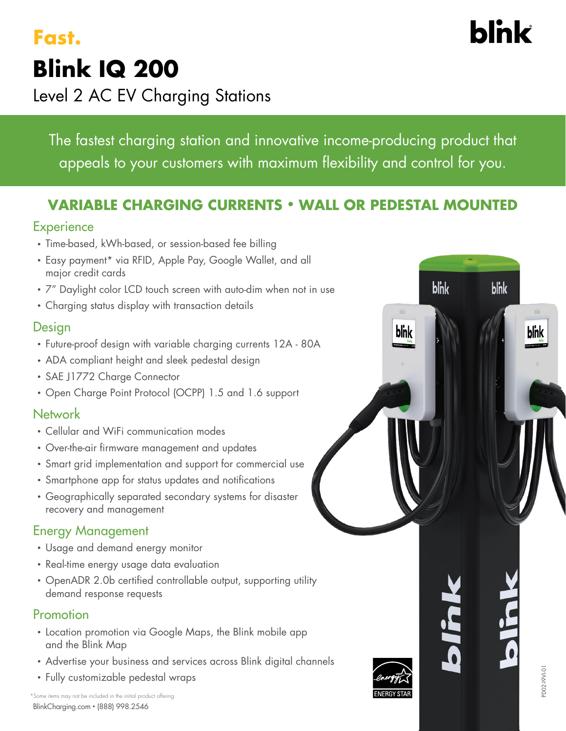## **Blink IQ 200**  Level 2 AC EV Charging Stations **Fast.**

The fastest charging station and innovative income-producing product that appeals to your customers with maximum flexibility and control for you.

## **VARIABLE CHARGING CURRENTS • WALL OR PEDESTAL MOUNTED**

## **Experience**

- Time-based, kWh-based, or session-based fee billing
- Easy payment\* via RFID, Apple Pay, Google Wallet, and all major credit cards
- 7" Daylight color LCD touch screen with auto-dim when not in use
- Charging status display with transaction details

## **Design**

- Future-proof design with variable charging currents 12A 80A
- ADA compliant height and sleek pedestal design
- SAE J1772 Charge Connector
- Open Charge Point Protocol (OCPP) 1.5 and 1.6 support

## Network

- Cellular and WiFi communication modes
- Over-the-air firmware management and updates
- Smart grid implementation and support for commercial use
- Smartphone app for status updates and notifications
- Geographically separated secondary systems for disaster recovery and management

## Energy Management

- Usage and demand energy monitor
- Real-time energy usage data evaluation
- OpenADR 2.0b certified controllable output, supporting utility demand response requests

## Promotion

- Location promotion via Google Maps, the Blink mobile app and the Blink Map
- Advertise your business and services across Blink digital channels
- Fully customizable pedestal wraps







# **blnk**

blnk

blnk

blnk

blnk